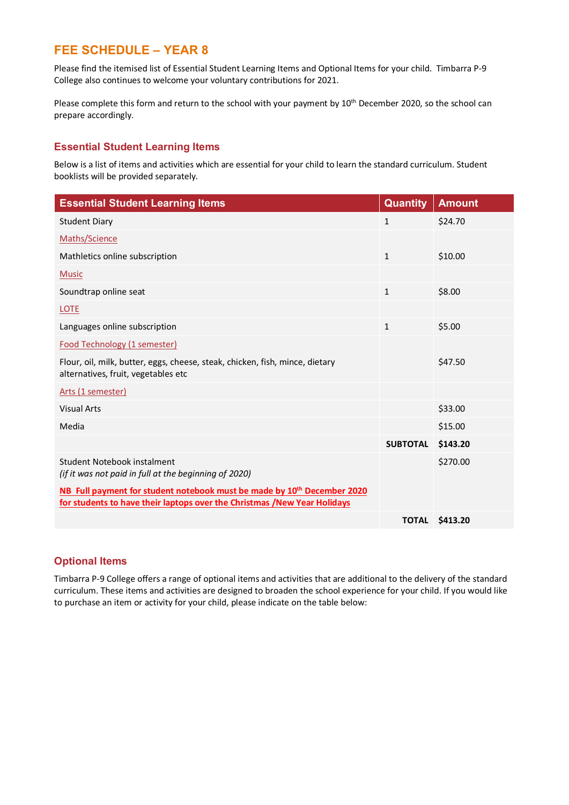# **FEE SCHEDULE – YEAR 8**

Please find the itemised list of Essential Student Learning Items and Optional Items for your child. Timbarra P-9 College also continues to welcome your voluntary contributions for 2021.

Please complete this form and return to the school with your payment by 10<sup>th</sup> December 2020, so the school can prepare accordingly.

## **Essential Student Learning Items**

Below is a list of items and activities which are essential for your child to learn the standard curriculum. Student booklists will be provided separately.

| <b>Essential Student Learning Items</b>                                                                                                                         | <b>Quantity</b> | <b>Amount</b> |
|-----------------------------------------------------------------------------------------------------------------------------------------------------------------|-----------------|---------------|
| <b>Student Diary</b>                                                                                                                                            | 1               | \$24.70       |
| Maths/Science                                                                                                                                                   |                 |               |
| Mathletics online subscription                                                                                                                                  | $\mathbf{1}$    | \$10.00       |
| <b>Music</b>                                                                                                                                                    |                 |               |
| Soundtrap online seat                                                                                                                                           | $\mathbf{1}$    | \$8.00        |
| <b>LOTE</b>                                                                                                                                                     |                 |               |
| Languages online subscription                                                                                                                                   | 1               | \$5.00        |
| Food Technology (1 semester)                                                                                                                                    |                 |               |
| Flour, oil, milk, butter, eggs, cheese, steak, chicken, fish, mince, dietary<br>alternatives, fruit, vegetables etc                                             |                 | \$47.50       |
| Arts (1 semester)                                                                                                                                               |                 |               |
| <b>Visual Arts</b>                                                                                                                                              |                 | \$33.00       |
| Media                                                                                                                                                           |                 | \$15.00       |
|                                                                                                                                                                 | <b>SUBTOTAL</b> | \$143.20      |
| Student Notebook instalment<br>(if it was not paid in full at the beginning of 2020)                                                                            |                 | \$270.00      |
| NB Full payment for student notebook must be made by 10 <sup>th</sup> December 2020<br>for students to have their laptops over the Christmas /New Year Holidays |                 |               |
|                                                                                                                                                                 | <b>TOTAL</b>    | \$413.20      |

## **Optional Items**

Timbarra P-9 College offers a range of optional items and activities that are additional to the delivery of the standard curriculum. These items and activities are designed to broaden the school experience for your child. If you would like to purchase an item or activity for your child, please indicate on the table below: